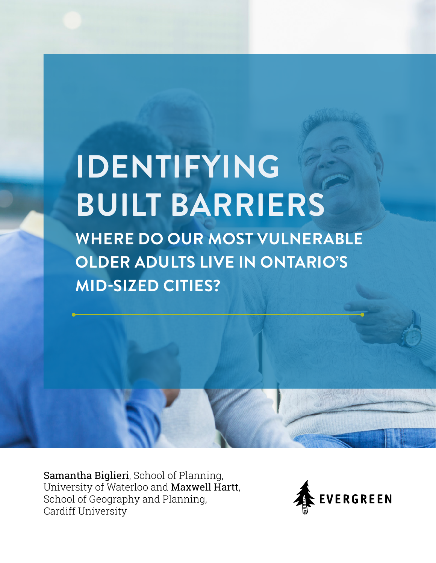# **IDENTIFYING BUILT BARRIERS WHERE DO OUR MOST VULNERABLE OLDER ADULTS LIVE IN ONTARIO'S MID-SIZED CITIES?**

Samantha Biglieri, School of Planning, University of Waterloo and Maxwell Hartt, School of Geography and Planning, Cardiff University

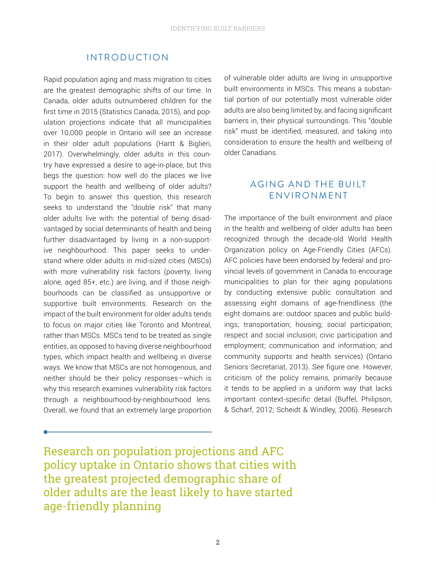## INTRODUCTION

Rapid population aging and mass migration to cities are the greatest demographic shifts of our time. In Canada, older adults outnumbered children for the first time in 2015 (Statistics Canada, 2015), and population projections indicate that all municipalities over 10,000 people in Ontario will see an increase in their older adult populations (Hartt & Biglieri, 2017). Overwhelmingly, older adults in this country have expressed a desire to age-in-place, but this begs the question: how well do the places we live support the health and wellbeing of older adults? To begin to answer this question, this research seeks to understand the "double risk" that many older adults live with: the potential of being disadvantaged by social determinants of health and being further disadvantaged by living in a non-supportive neighbourhood. This paper seeks to understand where older adults in mid-sized cities (MSCs) with more vulnerability risk factors (poverty, living alone, aged 85+, etc.) are living, and if those neighbourhoods can be classified as unsupportive or supportive built environments. Research on the impact of the built environment for older adults tends to focus on major cities like Toronto and Montreal, rather than MSCs. MSCs tend to be treated as single entities, as opposed to having diverse neighbourhood types, which impact health and wellbeing in diverse ways. We know that MSCs are not homogenous, and neither should be their policy responses—which is why this research examines vulnerability risk factors through a neighbourhood-by-neighbourhood lens. Overall, we found that an extremely large proportion

of vulnerable older adults are living in unsupportive built environments in MSCs. This means a substantial portion of our potentially most vulnerable older adults are also being limited by, and facing significant barriers in, their physical surroundings. This "double risk" must be identified, measured, and taking into consideration to ensure the health and wellbeing of older Canadians.

# AGING AND THE BUILT ENVIRONMENT

The importance of the built environment and place in the health and wellbeing of older adults has been recognized through the decade-old World Health Organization policy on Age-Friendly Cities (AFCs). AFC policies have been endorsed by federal and provincial levels of government in Canada to encourage municipalities to plan for their aging populations by conducting extensive public consultation and assessing eight domains of age-friendliness (the eight domains are: outdoor spaces and public buildings; transportation; housing; social participation; respect and social inclusion; civic participation and employment; communication and information; and community supports and health services) (Ontario Seniors Secretariat, 2013). See figure one. However, criticism of the policy remains, primarily because it tends to be applied in a uniform way that lacks important context-specific detail (Buffel, Philipson, & Scharf, 2012; Scheidt & Windley, 2006). Research

Research on population projections and AFC policy uptake in Ontario shows that cities with the greatest projected demographic share of older adults are the least likely to have started age-friendly planning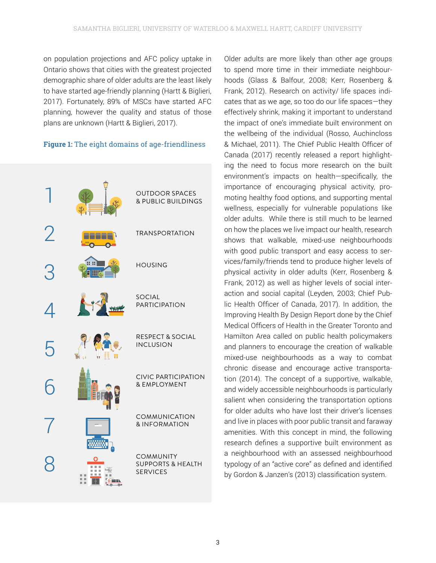on population projections and AFC policy uptake in Ontario shows that cities with the greatest projected demographic share of older adults are the least likely to have started age-friendly planning (Hartt & Biglieri, 2017). Fortunately, 89% of MSCs have started AFC planning, however the quality and status of those plans are unknown (Hartt & Biglieri, 2017).

## **Figure 1:** The eight domains of age-friendliness



Older adults are more likely than other age groups to spend more time in their immediate neighbourhoods (Glass & Balfour, 2008; Kerr, Rosenberg & Frank, 2012). Research on activity/ life spaces indicates that as we age, so too do our life spaces—they effectively shrink, making it important to understand the impact of one's immediate built environment on the wellbeing of the individual (Rosso, Auchincloss & Michael, 2011). The Chief Public Health Officer of Canada (2017) recently released a report highlighting the need to focus more research on the built environment's impacts on health—specifically, the importance of encouraging physical activity, promoting healthy food options, and supporting mental wellness, especially for vulnerable populations like older adults. While there is still much to be learned on how the places we live impact our health, research shows that walkable, mixed-use neighbourhoods with good public transport and easy access to services/family/friends tend to produce higher levels of physical activity in older adults (Kerr, Rosenberg & Frank, 2012) as well as higher levels of social interaction and social capital (Leyden, 2003; Chief Public Health Officer of Canada, 2017). In addition, the Improving Health By Design Report done by the Chief Medical Officers of Health in the Greater Toronto and Hamilton Area called on public health policymakers and planners to encourage the creation of walkable mixed-use neighbourhoods as a way to combat chronic disease and encourage active transportation (2014). The concept of a supportive, walkable, and widely accessible neighbourhoods is particularly salient when considering the transportation options for older adults who have lost their driver's licenses and live in places with poor public transit and faraway amenities. With this concept in mind, the following research defines a supportive built environment as a neighbourhood with an assessed neighbourhood typology of an "active core" as defined and identified by Gordon & Janzen's (2013) classification system.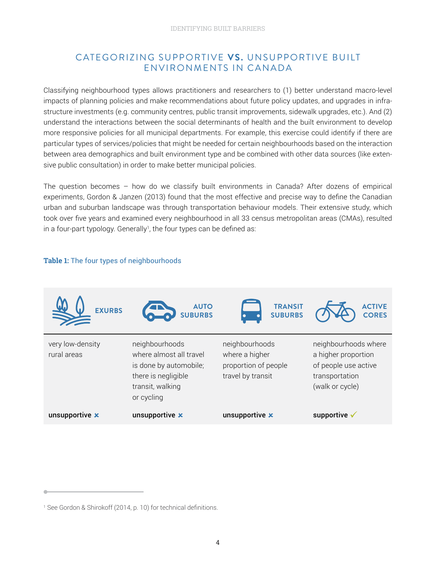# CATEGORIZING SUPPORTIVE **VS.** UNSUPPORTIVE BUILT ENVIRONMENTS IN CANADA

Classifying neighbourhood types allows practitioners and researchers to (1) better understand macro-level impacts of planning policies and make recommendations about future policy updates, and upgrades in infrastructure investments (e.g. community centres, public transit improvements, sidewalk upgrades, etc.). And (2) understand the interactions between the social determinants of health and the built environment to develop more responsive policies for all municipal departments. For example, this exercise could identify if there are particular types of services/policies that might be needed for certain neighbourhoods based on the interaction between area demographics and built environment type and be combined with other data sources (like extensive public consultation) in order to make better municipal policies.

The question becomes – how do we classify built environments in Canada? After dozens of empirical experiments, Gordon & Janzen (2013) found that the most effective and precise way to define the Canadian urban and suburban landscape was through transportation behaviour models. Their extensive study, which took over five years and examined every neighbourhood in all 33 census metropolitan areas (CMAs), resulted in a four-part typology. Generally<sup>1</sup>, the four types can be defined as:

#### **Table 1:** The four types of neighbourhoods



<sup>1</sup> See Gordon & Shirokoff (2014, p. 10) for technical definitions.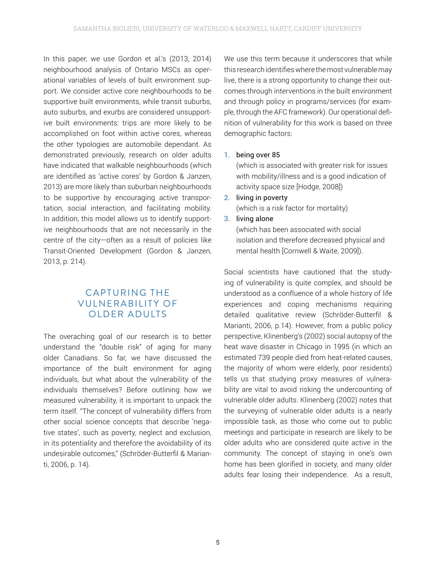In this paper, we use Gordon et al.'s (2013, 2014) neighbourhood analysis of Ontario MSCs as operational variables of levels of built environment support. We consider active core neighbourhoods to be supportive built environments, while transit suburbs, auto suburbs, and exurbs are considered unsupportive built environments: trips are more likely to be accomplished on foot within active cores, whereas the other typologies are automobile dependant. As demonstrated previously, research on older adults have indicated that walkable neighbourhoods (which are identified as 'active cores' by Gordon & Janzen, 2013) are more likely than suburban neighbourhoods to be supportive by encouraging active transportation, social interaction, and facilitating mobility. In addition, this model allows us to identify supportive neighbourhoods that are not necessarily in the centre of the city—often as a result of policies like Transit-Oriented Development (Gordon & Janzen, 2013, p. 214).

# C APTURING THE **VULNERABILITY OF** OLDER ADULTS

The overaching goal of our research is to better understand the "double risk" of aging for many older Canadians. So far, we have discussed the importance of the built environment for aging individuals, but what about the vulnerability of the individuals themselves? Before outlining how we measured vulnerability, it is important to unpack the term itself. "The concept of vulnerability differs from other social science concepts that describe 'negative states', such as poverty, neglect and exclusion, in its potentiality and therefore the avoidability of its undesirable outcomes," (Schröder-Butterfil & Marianti, 2006, p. 14).

We use this term because it underscores that while this research identifies where the most vulnerable may live, there is a strong opportunity to change their outcomes through interventions in the built environment and through policy in programs/services (for example, through the AFC framework). Our operational definition of vulnerability for this work is based on three demographic factors:

#### 1. being over 85

(which is associated with greater risk for issues with mobility/illness and is a good indication of activity space size [Hodge, 2008])

- 2. living in poverty (which is a risk factor for mortality)
- 3. living alone

(which has been associated with social isolation and therefore decreased physical and mental health [Cornwell & Waite, 2009]).

Social scientists have cautioned that the studying of vulnerability is quite complex, and should be understood as a confluence of a whole history of life experiences and coping mechanisms requiring detailed qualitative review (Schröder-Butterfil & Marianti, 2006, p.14). However, from a public policy perspective, Klinenberg's (2002) social autopsy of the heat wave disaster in Chicago in 1995 (in which an estimated 739 people died from heat-related causes, the majority of whom were elderly, poor residents) tells us that studying proxy measures of vulnerability are vital to avoid risking the undercounting of vulnerable older adults. Klinenberg (2002) notes that the surveying of vulnerable older adults is a nearly impossible task, as those who come out to public meetings and participate in research are likely to be older adults who are considered quite active in the community. The concept of staying in one's own home has been glorified in society, and many older adults fear losing their independence. As a result,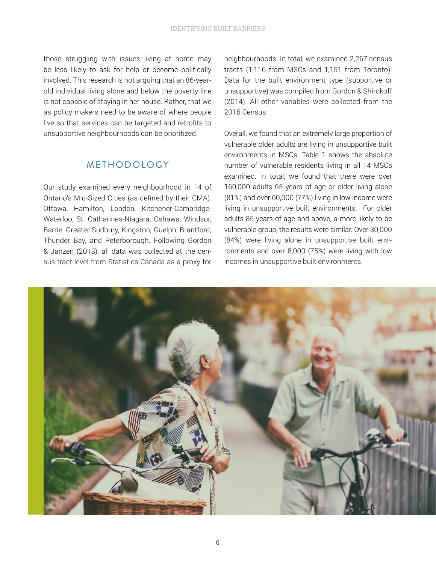those struggling with issues living at home may be less likely to ask for help or become politically involved. This research is not arguing that an 86-yearold individual living alone and below the poverty line is not capable of staying in her house. Rather, that we as policy makers need to be aware of where people live so that services can be targeted and retrofits to unsupportive neighbourhoods can be prioritized.

## METHODOLOGY

Our study examined every neighbourhood in 14 of Ontario's Mid-Sized Cities (as defined by their CMA): Ottawa, Hamilton, London, Kitchener-Cambridge-Waterloo, St. Catharines-Niagara, Oshawa, Windsor, Barrie, Greater Sudbury, Kingston, Guelph, Brantford, Thunder Bay, and Peterborough. Following Gordon & Janzen (2013), all data was collected at the census tract level from Statistics Canada as a proxy for neighbourhoods. In total, we examined 2,267 census tracts (1,116 from MSCs and 1,151 from Toronto). Data for the built environment type (supportive or unsupportive) was compiled from Gordon & Shirokoff (2014). All other variables were collected from the 2016 Census.

Overall, we found that an extremely large proportion of vulnerable older adults are living in unsupportive built environments in MSCs. Table 1 shows the absolute number of vulnerable residents living in all 14 MSCs examined. In total, we found that there were over 160,000 adults 65 years of age or older living alone (81%) and over 60,000 (77%) living in low income were living in unsupportive built environments. For older adults 85 years of age and above, a more likely to be vulnerable group, the results were similar. Over 30,000 (84%) were living alone in unsupportive built environments and over 8,000 (75%) were living with low incomes in unsupportive built environments.

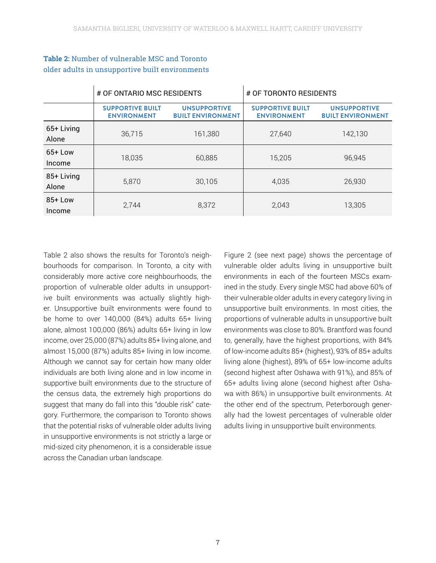|                     | # OF ONTARIO MSC RESIDENTS                    |                                                 | # OF TORONTO RESIDENTS                        |                                                 |
|---------------------|-----------------------------------------------|-------------------------------------------------|-----------------------------------------------|-------------------------------------------------|
|                     | <b>SUPPORTIVE BUILT</b><br><b>ENVIRONMENT</b> | <b>UNSUPPORTIVE</b><br><b>BUILT ENVIRONMENT</b> | <b>SUPPORTIVE BUILT</b><br><b>ENVIRONMENT</b> | <b>UNSUPPORTIVE</b><br><b>BUILT ENVIRONMENT</b> |
| 65+ Living<br>Alone | 36,715                                        | 161,380                                         | 27,640                                        | 142,130                                         |
| $65+$ Low<br>Income | 18,035                                        | 60,885                                          | 15,205                                        | 96,945                                          |
| 85+ Living<br>Alone | 5,870                                         | 30,105                                          | 4,035                                         | 26,930                                          |
| $85+$ Low<br>Income | 2,744                                         | 8,372                                           | 2,043                                         | 13,305                                          |

## **Table 2:** Number of vulnerable MSC and Toronto older adults in unsupportive built environments

Table 2 also shows the results for Toronto's neighbourhoods for comparison. In Toronto, a city with considerably more active core neighbourhoods, the proportion of vulnerable older adults in unsupportive built environments was actually slightly higher. Unsupportive built environments were found to be home to over 140,000 (84%) adults 65+ living alone, almost 100,000 (86%) adults 65+ living in low income, over 25,000 (87%) adults 85+ living alone, and almost 15,000 (87%) adults 85+ living in low income. Although we cannot say for certain how many older individuals are both living alone and in low income in supportive built environments due to the structure of the census data, the extremely high proportions do suggest that many do fall into this "double risk" category. Furthermore, the comparison to Toronto shows that the potential risks of vulnerable older adults living in unsupportive environments is not strictly a large or mid-sized city phenomenon, it is a considerable issue across the Canadian urban landscape.

Figure 2 (see next page) shows the percentage of vulnerable older adults living in unsupportive built environments in each of the fourteen MSCs examined in the study. Every single MSC had above 60% of their vulnerable older adults in every category living in unsupportive built environments. In most cities, the proportions of vulnerable adults in unsupportive built environments was close to 80%. Brantford was found to, generally, have the highest proportions, with 84% of low-income adults 85+ (highest), 93% of 85+ adults living alone (highest), 89% of 65+ low-income adults (second highest after Oshawa with 91%), and 85% of 65+ adults living alone (second highest after Oshawa with 86%) in unsupportive built environments. At the other end of the spectrum, Peterborough generally had the lowest percentages of vulnerable older adults living in unsupportive built environments.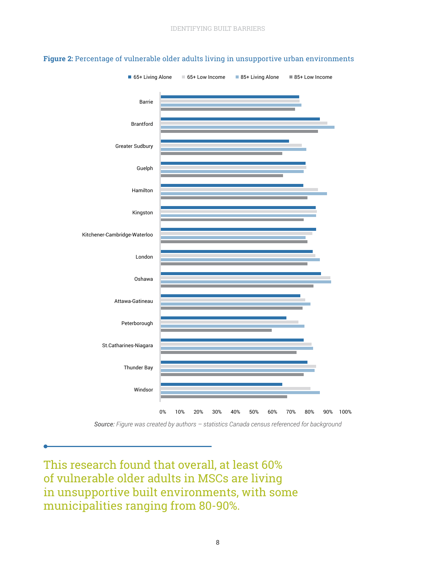

#### **Figure 2:** Percentage of vulnerable older adults living in unsupportive urban environments

*Source: Figure was created by authors – statistics Canada census referenced for background* 

This research found that overall, at least 60% of vulnerable older adults in MSCs are living in unsupportive built environments, with some municipalities ranging from 80-90%.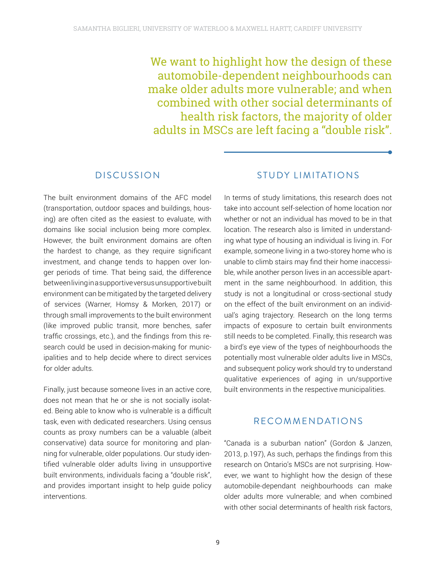We want to highlight how the design of these automobile-dependent neighbourhoods can make older adults more vulnerable; and when combined with other social determinants of health risk factors, the majority of older adults in MSCs are left facing a "double risk".

## **DISCUSSION**

The built environment domains of the AFC model (transportation, outdoor spaces and buildings, housing) are often cited as the easiest to evaluate, with domains like social inclusion being more complex. However, the built environment domains are often the hardest to change, as they require significant investment, and change tends to happen over longer periods of time. That being said, the difference between living in a supportive versus unsupportive built environment can be mitigated by the targeted delivery of services (Warner, Homsy & Morken, 2017) or through small improvements to the built environment (like improved public transit, more benches, safer traffic crossings, etc.), and the findings from this research could be used in decision-making for municipalities and to help decide where to direct services for older adults.

Finally, just because someone lives in an active core, does not mean that he or she is not socially isolated. Being able to know who is vulnerable is a difficult task, even with dedicated researchers. Using census counts as proxy numbers can be a valuable (albeit conservative) data source for monitoring and planning for vulnerable, older populations. Our study identified vulnerable older adults living in unsupportive built environments, individuals facing a "double risk", and provides important insight to help guide policy interventions.

## STUDY LIMITATIONS

In terms of study limitations, this research does not take into account self-selection of home location nor whether or not an individual has moved to be in that location. The research also is limited in understanding what type of housing an individual is living in. For example, someone living in a two-storey home who is unable to climb stairs may find their home inaccessible, while another person lives in an accessible apartment in the same neighbourhood. In addition, this study is not a longitudinal or cross-sectional study on the effect of the built environment on an individual's aging trajectory. Research on the long terms impacts of exposure to certain built environments still needs to be completed. Finally, this research was a bird's eye view of the types of neighbourhoods the potentially most vulnerable older adults live in MSCs, and subsequent policy work should try to understand qualitative experiences of aging in un/supportive built environments in the respective municipalities.

## RECOMMENDATIONS

"Canada is a suburban nation" (Gordon & Janzen, 2013, p.197), As such, perhaps the findings from this research on Ontario's MSCs are not surprising. However, we want to highlight how the design of these automobile-dependant neighbourhoods can make older adults more vulnerable; and when combined with other social determinants of health risk factors.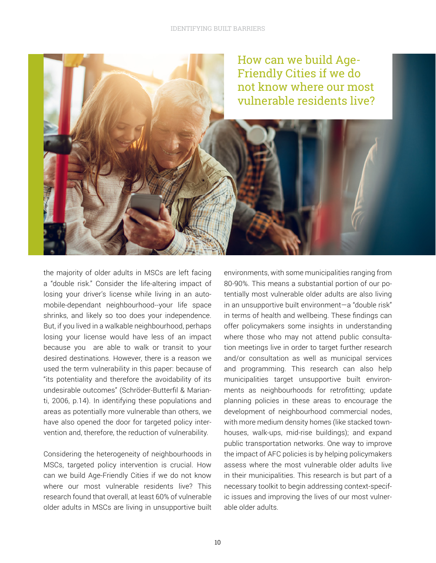

the majority of older adults in MSCs are left facing a "double risk." Consider the life-altering impact of losing your driver's license while living in an automobile-dependant neighbourhood--your life space shrinks, and likely so too does your independence. But, if you lived in a walkable neighbourhood, perhaps losing your license would have less of an impact because you are able to walk or transit to your desired destinations. However, there is a reason we used the term vulnerability in this paper: because of "its potentiality and therefore the avoidability of its undesirable outcomes" (Schröder-Butterfil & Marianti, 2006, p.14). In identifying these populations and areas as potentially more vulnerable than others, we have also opened the door for targeted policy intervention and, therefore, the reduction of vulnerability.

Considering the heterogeneity of neighbourhoods in MSCs, targeted policy intervention is crucial. How can we build Age-Friendly Cities if we do not know where our most vulnerable residents live? This research found that overall, at least 60% of vulnerable older adults in MSCs are living in unsupportive built

environments, with some municipalities ranging from 80-90%. This means a substantial portion of our potentially most vulnerable older adults are also living in an unsupportive built environment—a "double risk" in terms of health and wellbeing. These findings can offer policymakers some insights in understanding where those who may not attend public consultation meetings live in order to target further research and/or consultation as well as municipal services and programming. This research can also help municipalities target unsupportive built environments as neighbourhoods for retrofitting; update planning policies in these areas to encourage the development of neighbourhood commercial nodes, with more medium density homes (like stacked townhouses, walk-ups, mid-rise buildings); and expand public transportation networks. One way to improve the impact of AFC policies is by helping policymakers assess where the most vulnerable older adults live in their municipalities. This research is but part of a necessary toolkit to begin addressing context-specific issues and improving the lives of our most vulnerable older adults.